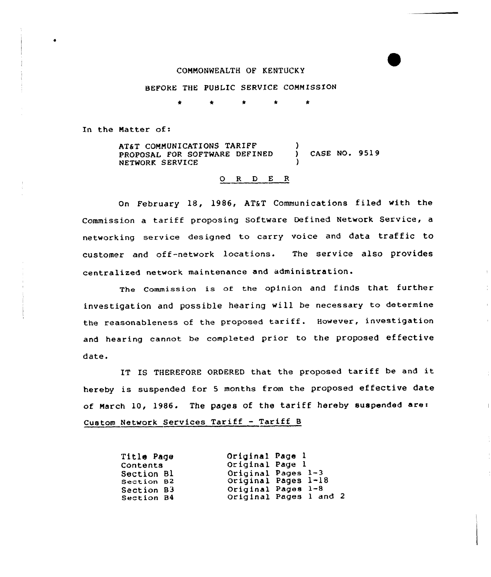## COMMONWEALTH OF KENTUCKY

## BEFORE THE PUBLIC SERVICE COMMISSION

\* \* \* \* \*

In the Matter of:

AT&T COMMUNICATIONS TARIFF PROPOSAL FOR SOFTWARE DEFINED NETWORK SERVICE  $\lambda$ ) CASE NO. 9519 )

## 0 <sup>R</sup> <sup>D</sup> <sup>E</sup> <sup>R</sup>

On February 18, 1986, AT&T Communications filed with the Commission a tariff proposing Software Defined Network Service, <sup>a</sup> networking service designed to carry voice and data traffic to customer and off-network locations. The service also provides centralized network maintenance and administration.

The Commission is of the opinion and finds that further investigation and possible hearing will be necessary to determine the reasonableness of the proposed tariff. However, investigation and hearing cannot be completed prior to the proposed effective date.

IT IS THEREFORE ORDERED that the proposed tariff be and it hereby is suspended for <sup>5</sup> months from the proposed effective date of March 10, 1986. The pages of the tariff hereby suspended are: Custom Network Services Tariff — Tariff 8

 $\overline{\phantom{a}}$ 

| Title Page               | Original Page 1 |                                              |
|--------------------------|-----------------|----------------------------------------------|
| Contents                 | Original Page 1 |                                              |
| Section Bl               |                 | Original Pages 1-3                           |
| Section B2               |                 | Original Pages 1-18                          |
| Section B3<br>Section B4 |                 | Original Pages 1-8<br>Original Pages 1 and 2 |